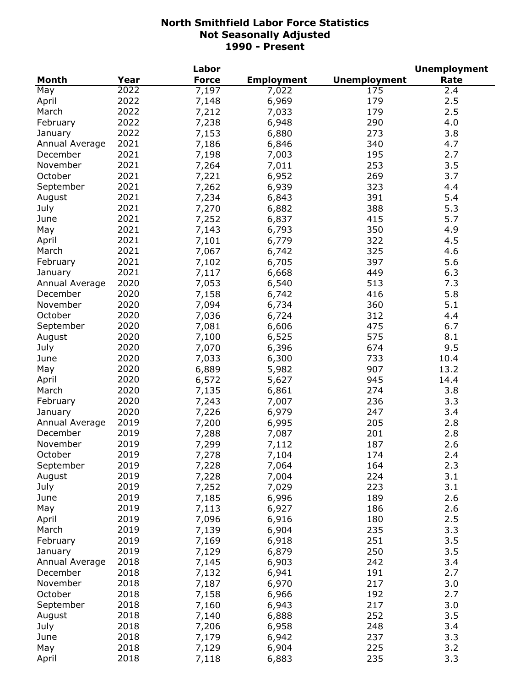|                |      | Labor        |                   |                     | <b>Unemployment</b> |
|----------------|------|--------------|-------------------|---------------------|---------------------|
| <b>Month</b>   | Year | <b>Force</b> | <b>Employment</b> | <b>Unemployment</b> | Rate                |
| May            | 2022 | 7,197        | 7,022             | 175                 | 2.4                 |
| April          | 2022 | 7,148        | 6,969             | 179                 | 2.5                 |
| March          | 2022 | 7,212        | 7,033             | 179                 | 2.5                 |
| February       | 2022 | 7,238        | 6,948             | 290                 | 4.0                 |
| January        | 2022 | 7,153        | 6,880             | 273                 | 3.8                 |
| Annual Average | 2021 | 7,186        | 6,846             | 340                 | 4.7                 |
| December       | 2021 | 7,198        | 7,003             | 195                 | 2.7                 |
| November       | 2021 | 7,264        | 7,011             | 253                 | 3.5                 |
| October        | 2021 | 7,221        | 6,952             | 269                 | 3.7                 |
| September      | 2021 | 7,262        | 6,939             | 323                 | 4.4                 |
| August         | 2021 | 7,234        | 6,843             | 391                 | 5.4                 |
| July           | 2021 | 7,270        |                   | 388                 | 5.3                 |
|                | 2021 |              | 6,882             |                     |                     |
| June           |      | 7,252        | 6,837             | 415                 | 5.7                 |
| May            | 2021 | 7,143        | 6,793             | 350                 | 4.9                 |
| April          | 2021 | 7,101        | 6,779             | 322                 | 4.5                 |
| March          | 2021 | 7,067        | 6,742             | 325                 | 4.6                 |
| February       | 2021 | 7,102        | 6,705             | 397                 | 5.6                 |
| January        | 2021 | 7,117        | 6,668             | 449                 | 6.3                 |
| Annual Average | 2020 | 7,053        | 6,540             | 513                 | 7.3                 |
| December       | 2020 | 7,158        | 6,742             | 416                 | 5.8                 |
| November       | 2020 | 7,094        | 6,734             | 360                 | 5.1                 |
| October        | 2020 | 7,036        | 6,724             | 312                 | 4.4                 |
| September      | 2020 | 7,081        | 6,606             | 475                 | 6.7                 |
| August         | 2020 | 7,100        | 6,525             | 575                 | 8.1                 |
| July           | 2020 | 7,070        | 6,396             | 674                 | 9.5                 |
| June           | 2020 | 7,033        | 6,300             | 733                 | 10.4                |
| May            | 2020 | 6,889        | 5,982             | 907                 | 13.2                |
| April          | 2020 | 6,572        | 5,627             | 945                 | 14.4                |
| March          | 2020 | 7,135        | 6,861             | 274                 | 3.8                 |
| February       | 2020 | 7,243        | 7,007             | 236                 | 3.3                 |
| January        | 2020 | 7,226        | 6,979             | 247                 | 3.4                 |
| Annual Average | 2019 | 7,200        | 6,995             | 205                 | 2.8                 |
| December       | 2019 | 7,288        | 7,087             | 201                 | 2.8                 |
| November       | 2019 | 7,299        | 7,112             | 187                 | 2.6                 |
| October        | 2019 | 7,278        | 7,104             | 174                 | 2.4                 |
| September      | 2019 | 7,228        | 7,064             | 164                 | 2.3                 |
| August         | 2019 | 7,228        | 7,004             | 224                 | 3.1                 |
| July           | 2019 | 7,252        | 7,029             | 223                 | 3.1                 |
| June           | 2019 | 7,185        | 6,996             | 189                 | 2.6                 |
| May            | 2019 | 7,113        | 6,927             | 186                 | 2.6                 |
| April          | 2019 | 7,096        | 6,916             | 180                 | 2.5                 |
| March          | 2019 | 7,139        | 6,904             | 235                 | 3.3                 |
| February       | 2019 | 7,169        | 6,918             | 251                 | 3.5                 |
| January        | 2019 | 7,129        | 6,879             | 250                 | 3.5                 |
|                |      |              |                   |                     |                     |
| Annual Average | 2018 | 7,145        | 6,903             | 242                 | 3.4                 |
| December       | 2018 | 7,132        | 6,941             | 191                 | 2.7                 |
| November       | 2018 | 7,187        | 6,970             | 217                 | 3.0                 |
| October        | 2018 | 7,158        | 6,966             | 192                 | 2.7                 |
| September      | 2018 | 7,160        | 6,943             | 217                 | 3.0                 |
| August         | 2018 | 7,140        | 6,888             | 252                 | 3.5                 |
| July           | 2018 | 7,206        | 6,958             | 248                 | 3.4                 |
| June           | 2018 | 7,179        | 6,942             | 237                 | 3.3                 |
| May            | 2018 | 7,129        | 6,904             | 225                 | 3.2                 |
| April          | 2018 | 7,118        | 6,883             | 235                 | 3.3                 |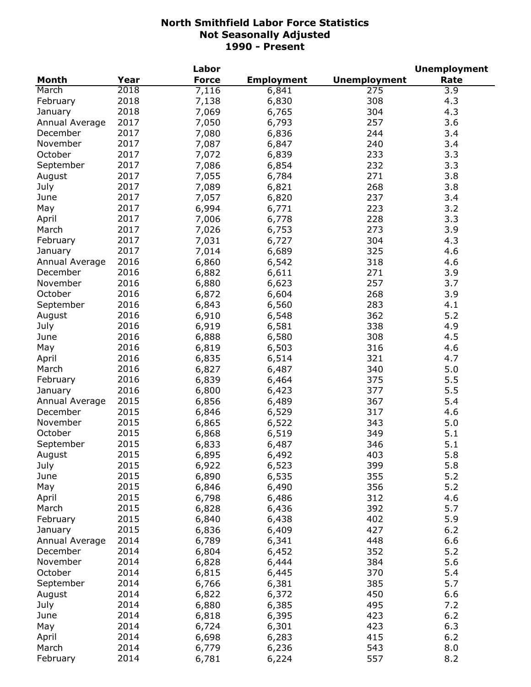|                |      | Labor        |                   |                     | <b>Unemployment</b> |
|----------------|------|--------------|-------------------|---------------------|---------------------|
| <b>Month</b>   | Year | <b>Force</b> | <b>Employment</b> | <b>Unemployment</b> | Rate                |
| March          | 2018 | 7,116        | 6,841             | 275                 | 3.9                 |
| February       | 2018 | 7,138        | 6,830             | 308                 | 4.3                 |
| January        | 2018 | 7,069        | 6,765             | 304                 | 4.3                 |
| Annual Average | 2017 | 7,050        | 6,793             | 257                 | 3.6                 |
| December       | 2017 | 7,080        | 6,836             | 244                 | 3.4                 |
| November       | 2017 | 7,087        | 6,847             | 240                 | 3.4                 |
| October        | 2017 | 7,072        | 6,839             | 233                 | 3.3                 |
| September      | 2017 | 7,086        | 6,854             | 232                 | 3.3                 |
| August         | 2017 | 7,055        | 6,784             | 271                 | 3.8                 |
| July           | 2017 | 7,089        | 6,821             | 268                 | 3.8                 |
| June           | 2017 | 7,057        | 6,820             | 237                 | 3.4                 |
|                | 2017 |              |                   | 223                 | 3.2                 |
| May            |      | 6,994        | 6,771             |                     |                     |
| April          | 2017 | 7,006        | 6,778             | 228                 | 3.3                 |
| March          | 2017 | 7,026        | 6,753             | 273                 | 3.9                 |
| February       | 2017 | 7,031        | 6,727             | 304                 | 4.3                 |
| January        | 2017 | 7,014        | 6,689             | 325                 | 4.6                 |
| Annual Average | 2016 | 6,860        | 6,542             | 318                 | 4.6                 |
| December       | 2016 | 6,882        | 6,611             | 271                 | 3.9                 |
| November       | 2016 | 6,880        | 6,623             | 257                 | 3.7                 |
| October        | 2016 | 6,872        | 6,604             | 268                 | 3.9                 |
| September      | 2016 | 6,843        | 6,560             | 283                 | 4.1                 |
| August         | 2016 | 6,910        | 6,548             | 362                 | 5.2                 |
| July           | 2016 | 6,919        | 6,581             | 338                 | 4.9                 |
| June           | 2016 | 6,888        | 6,580             | 308                 | 4.5                 |
| May            | 2016 | 6,819        | 6,503             | 316                 | 4.6                 |
| April          | 2016 | 6,835        | 6,514             | 321                 | 4.7                 |
| March          | 2016 | 6,827        | 6,487             | 340                 | 5.0                 |
| February       | 2016 | 6,839        | 6,464             | 375                 | 5.5                 |
| January        | 2016 | 6,800        | 6,423             | 377                 | 5.5                 |
| Annual Average | 2015 | 6,856        | 6,489             | 367                 | 5.4                 |
| December       | 2015 | 6,846        | 6,529             | 317                 | 4.6                 |
| November       | 2015 | 6,865        | 6,522             | 343                 | 5.0                 |
| October        | 2015 | 6,868        | 6,519             | 349                 | 5.1                 |
| September      | 2015 | 6,833        | 6,487             | 346                 | 5.1                 |
| August         | 2015 | 6,895        | 6,492             | 403                 | 5.8                 |
| July           | 2015 | 6,922        | 6,523             | 399                 | 5.8                 |
| June           | 2015 | 6,890        | 6,535             | 355                 | 5.2                 |
| May            | 2015 | 6,846        | 6,490             | 356                 | 5.2                 |
| April          | 2015 | 6,798        | 6,486             | 312                 | 4.6                 |
|                | 2015 |              |                   | 392                 | 5.7                 |
| March          |      | 6,828        | 6,436             |                     |                     |
| February       | 2015 | 6,840        | 6,438             | 402                 | 5.9                 |
| January        | 2015 | 6,836        | 6,409             | 427                 | 6.2                 |
| Annual Average | 2014 | 6,789        | 6,341             | 448                 | 6.6                 |
| December       | 2014 | 6,804        | 6,452             | 352                 | 5.2                 |
| November       | 2014 | 6,828        | 6,444             | 384                 | 5.6                 |
| October        | 2014 | 6,815        | 6,445             | 370                 | 5.4                 |
| September      | 2014 | 6,766        | 6,381             | 385                 | 5.7                 |
| August         | 2014 | 6,822        | 6,372             | 450                 | 6.6                 |
| July           | 2014 | 6,880        | 6,385             | 495                 | 7.2                 |
| June           | 2014 | 6,818        | 6,395             | 423                 | 6.2                 |
| May            | 2014 | 6,724        | 6,301             | 423                 | 6.3                 |
| April          | 2014 | 6,698        | 6,283             | 415                 | 6.2                 |
| March          | 2014 | 6,779        | 6,236             | 543                 | 8.0                 |
| February       | 2014 | 6,781        | 6,224             | 557                 | 8.2                 |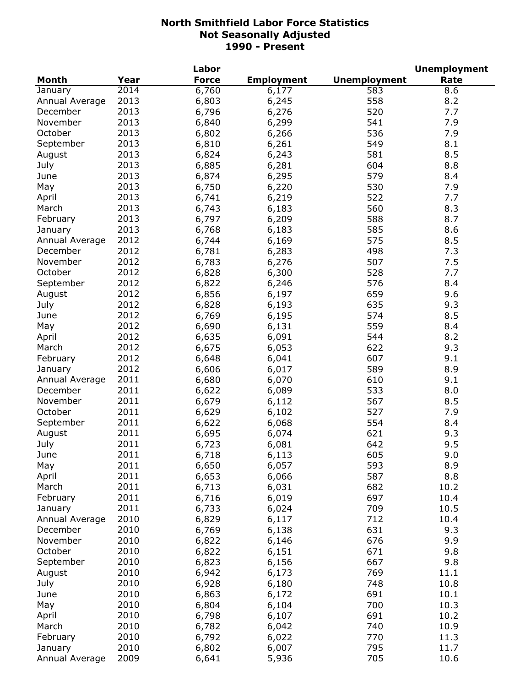|                |      | Labor        |                   |                     | <b>Unemployment</b> |
|----------------|------|--------------|-------------------|---------------------|---------------------|
| <b>Month</b>   | Year | <b>Force</b> | <b>Employment</b> | <b>Unemployment</b> | Rate                |
| January        | 2014 | 6,760        | 6,177             | 583                 | $\overline{8.6}$    |
| Annual Average | 2013 | 6,803        | 6,245             | 558                 | 8.2                 |
| December       | 2013 | 6,796        | 6,276             | 520                 | 7.7                 |
| November       | 2013 | 6,840        | 6,299             | 541                 | 7.9                 |
| October        | 2013 | 6,802        | 6,266             | 536                 | 7.9                 |
| September      | 2013 | 6,810        | 6,261             | 549                 | 8.1                 |
| August         | 2013 | 6,824        | 6,243             | 581                 | 8.5                 |
| July           | 2013 | 6,885        | 6,281             | 604                 | 8.8                 |
| June           | 2013 | 6,874        | 6,295             | 579                 | 8.4                 |
| May            | 2013 | 6,750        | 6,220             | 530                 | 7.9                 |
| April          | 2013 | 6,741        |                   | 522                 | 7.7                 |
|                | 2013 |              | 6,219             | 560                 |                     |
| March          |      | 6,743        | 6,183             |                     | 8.3                 |
| February       | 2013 | 6,797        | 6,209             | 588                 | 8.7                 |
| January        | 2013 | 6,768        | 6,183             | 585                 | 8.6                 |
| Annual Average | 2012 | 6,744        | 6,169             | 575                 | 8.5                 |
| December       | 2012 | 6,781        | 6,283             | 498                 | 7.3                 |
| November       | 2012 | 6,783        | 6,276             | 507                 | 7.5                 |
| October        | 2012 | 6,828        | 6,300             | 528                 | 7.7                 |
| September      | 2012 | 6,822        | 6,246             | 576                 | 8.4                 |
| August         | 2012 | 6,856        | 6,197             | 659                 | 9.6                 |
| July           | 2012 | 6,828        | 6,193             | 635                 | 9.3                 |
| June           | 2012 | 6,769        | 6,195             | 574                 | 8.5                 |
| May            | 2012 | 6,690        | 6,131             | 559                 | 8.4                 |
| April          | 2012 | 6,635        | 6,091             | 544                 | 8.2                 |
| March          | 2012 | 6,675        | 6,053             | 622                 | 9.3                 |
| February       | 2012 | 6,648        | 6,041             | 607                 | 9.1                 |
| January        | 2012 | 6,606        | 6,017             | 589                 | 8.9                 |
| Annual Average | 2011 | 6,680        | 6,070             | 610                 | 9.1                 |
| December       | 2011 | 6,622        | 6,089             | 533                 | 8.0                 |
| November       | 2011 | 6,679        | 6,112             | 567                 | 8.5                 |
| October        | 2011 | 6,629        | 6,102             | 527                 | 7.9                 |
| September      | 2011 | 6,622        | 6,068             | 554                 | 8.4                 |
| August         | 2011 | 6,695        | 6,074             | 621                 | 9.3                 |
| July           | 2011 | 6,723        | 6,081             | 642                 | 9.5                 |
| June           | 2011 | 6,718        | 6,113             | 605                 | 9.0                 |
| May            | 2011 | 6,650        | 6,057             | 593                 | 8.9                 |
| April          | 2011 | 6,653        | 6,066             | 587                 | 8.8                 |
| March          | 2011 |              | 6,031             | 682                 | 10.2                |
| February       | 2011 | 6,713        |                   | 697                 | 10.4                |
| January        | 2011 | 6,716        | 6,019             | 709                 |                     |
|                |      | 6,733        | 6,024             |                     | 10.5                |
| Annual Average | 2010 | 6,829        | 6,117             | 712                 | 10.4                |
| December       | 2010 | 6,769        | 6,138             | 631                 | 9.3                 |
| November       | 2010 | 6,822        | 6,146             | 676                 | 9.9                 |
| October        | 2010 | 6,822        | 6,151             | 671                 | 9.8                 |
| September      | 2010 | 6,823        | 6,156             | 667                 | 9.8                 |
| August         | 2010 | 6,942        | 6,173             | 769                 | 11.1                |
| July           | 2010 | 6,928        | 6,180             | 748                 | 10.8                |
| June           | 2010 | 6,863        | 6,172             | 691                 | 10.1                |
| May            | 2010 | 6,804        | 6,104             | 700                 | 10.3                |
| April          | 2010 | 6,798        | 6,107             | 691                 | 10.2                |
| March          | 2010 | 6,782        | 6,042             | 740                 | 10.9                |
| February       | 2010 | 6,792        | 6,022             | 770                 | 11.3                |
| January        | 2010 | 6,802        | 6,007             | 795                 | 11.7                |
| Annual Average | 2009 | 6,641        | 5,936             | 705                 | 10.6                |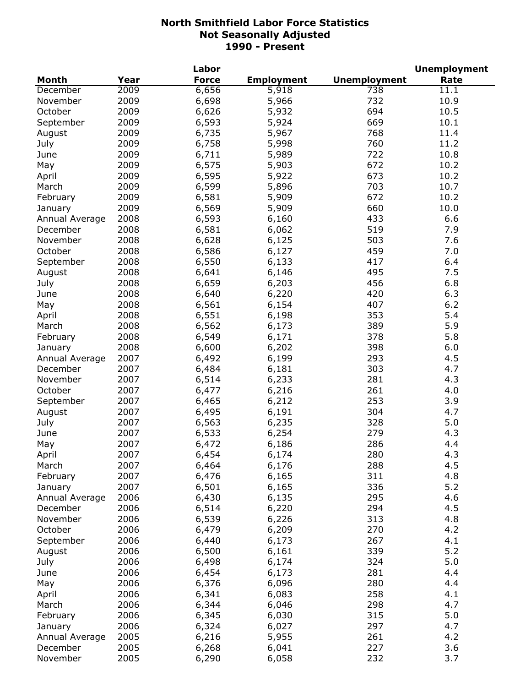|                |      | Labor        |                   |                     | <b>Unemployment</b> |
|----------------|------|--------------|-------------------|---------------------|---------------------|
| <b>Month</b>   | Year | <b>Force</b> | <b>Employment</b> | <b>Unemployment</b> | Rate                |
| December       | 2009 | 6,656        | 5,918             | 738                 | $\overline{1}1.1$   |
| November       | 2009 | 6,698        | 5,966             | 732                 | 10.9                |
| October        | 2009 | 6,626        | 5,932             | 694                 | 10.5                |
| September      | 2009 | 6,593        | 5,924             | 669                 | 10.1                |
| August         | 2009 | 6,735        | 5,967             | 768                 | 11.4                |
| July           | 2009 | 6,758        | 5,998             | 760                 | 11.2                |
| June           | 2009 | 6,711        | 5,989             | 722                 | 10.8                |
| May            | 2009 | 6,575        | 5,903             | 672                 | 10.2                |
| April          | 2009 | 6,595        | 5,922             | 673                 | 10.2                |
| March          | 2009 | 6,599        | 5,896             | 703                 | 10.7                |
| February       | 2009 | 6,581        | 5,909             | 672                 | 10.2                |
| January        | 2009 | 6,569        | 5,909             | 660                 | 10.0                |
| Annual Average | 2008 | 6,593        | 6,160             | 433                 | 6.6                 |
| December       | 2008 |              |                   | 519                 | 7.9                 |
| November       | 2008 | 6,581        | 6,062             | 503                 | 7.6                 |
| October        | 2008 | 6,628        | 6,125             | 459                 | 7.0                 |
|                |      | 6,586        | 6,127             | 417                 |                     |
| September      | 2008 | 6,550        | 6,133             |                     | 6.4                 |
| August         | 2008 | 6,641        | 6,146             | 495                 | 7.5                 |
| July           | 2008 | 6,659        | 6,203             | 456                 | 6.8                 |
| June           | 2008 | 6,640        | 6,220             | 420                 | 6.3                 |
| May            | 2008 | 6,561        | 6,154             | 407                 | 6.2                 |
| April          | 2008 | 6,551        | 6,198             | 353                 | 5.4                 |
| March          | 2008 | 6,562        | 6,173             | 389                 | 5.9                 |
| February       | 2008 | 6,549        | 6,171             | 378                 | 5.8                 |
| January        | 2008 | 6,600        | 6,202             | 398                 | 6.0                 |
| Annual Average | 2007 | 6,492        | 6,199             | 293                 | 4.5                 |
| December       | 2007 | 6,484        | 6,181             | 303                 | 4.7                 |
| November       | 2007 | 6,514        | 6,233             | 281                 | 4.3                 |
| October        | 2007 | 6,477        | 6,216             | 261                 | 4.0                 |
| September      | 2007 | 6,465        | 6,212             | 253                 | 3.9                 |
| August         | 2007 | 6,495        | 6,191             | 304                 | 4.7                 |
| July           | 2007 | 6,563        | 6,235             | 328                 | 5.0                 |
| June           | 2007 | 6,533        | 6,254             | 279                 | 4.3                 |
| May            | 2007 | 6,472        | 6,186             | 286                 | 4.4                 |
| April          | 2007 | 6,454        | 6,174             | 280                 | 4.3                 |
| March          | 2007 | 6,464        | 6,176             | 288                 | 4.5                 |
| February       | 2007 | 6,476        | 6,165             | 311                 | 4.8                 |
| January        | 2007 | 6,501        | 6,165             | 336                 | 5.2                 |
| Annual Average | 2006 | 6,430        | 6,135             | 295                 | 4.6                 |
| December       | 2006 | 6,514        | 6,220             | 294                 | 4.5                 |
| November       | 2006 | 6,539        | 6,226             | 313                 | 4.8                 |
| October        | 2006 | 6,479        | 6,209             | 270                 | 4.2                 |
| September      | 2006 | 6,440        | 6,173             | 267                 | 4.1                 |
| August         | 2006 | 6,500        | 6,161             | 339                 | 5.2                 |
| July           | 2006 | 6,498        | 6,174             | 324                 | 5.0                 |
| June           | 2006 | 6,454        | 6,173             | 281                 | 4.4                 |
| May            | 2006 | 6,376        | 6,096             | 280                 | 4.4                 |
| April          | 2006 | 6,341        | 6,083             | 258                 | 4.1                 |
| March          | 2006 | 6,344        | 6,046             | 298                 | 4.7                 |
| February       | 2006 | 6,345        | 6,030             | 315                 | 5.0                 |
| January        | 2006 | 6,324        | 6,027             | 297                 | 4.7                 |
|                | 2005 |              |                   | 261                 | 4.2                 |
| Annual Average |      | 6,216        | 5,955             | 227                 |                     |
| December       | 2005 | 6,268        | 6,041             |                     | 3.6                 |
| November       | 2005 | 6,290        | 6,058             | 232                 | 3.7                 |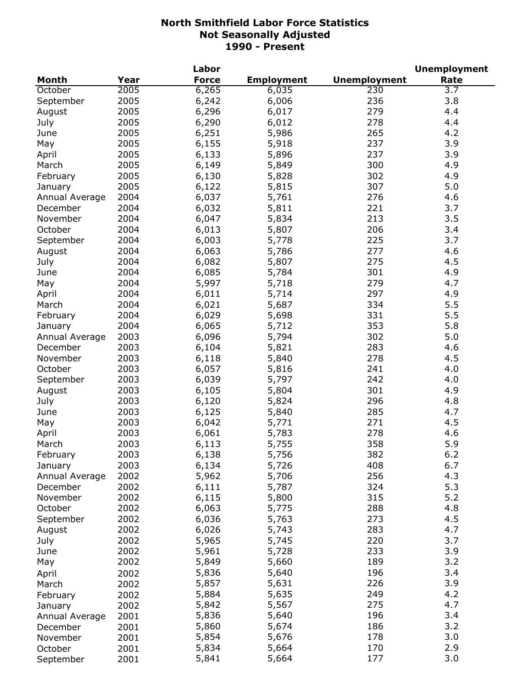|                |      | Labor        |                   |                     | <b>Unemployment</b> |
|----------------|------|--------------|-------------------|---------------------|---------------------|
| <b>Month</b>   | Year | <b>Force</b> | <b>Employment</b> | <b>Unemployment</b> | Rate                |
| October        | 2005 | 6,265        | 6,035             | 230                 | $\overline{3.7}$    |
| September      | 2005 | 6,242        | 6,006             | 236                 | 3.8                 |
| August         | 2005 | 6,296        | 6,017             | 279                 | 4.4                 |
| July           | 2005 | 6,290        | 6,012             | 278                 | 4.4                 |
| June           | 2005 | 6,251        | 5,986             | 265                 | 4.2                 |
| May            | 2005 | 6,155        | 5,918             | 237                 | 3.9                 |
| April          | 2005 | 6,133        | 5,896             | 237                 | 3.9                 |
| March          | 2005 | 6,149        | 5,849             | 300                 | 4.9                 |
| February       | 2005 | 6,130        | 5,828             | 302                 | 4.9                 |
| January        | 2005 | 6,122        | 5,815             | 307                 | 5.0                 |
| Annual Average | 2004 | 6,037        | 5,761             | 276                 | 4.6                 |
| December       | 2004 | 6,032        | 5,811             | 221                 | 3.7                 |
|                | 2004 |              |                   | 213                 | 3.5                 |
| November       |      | 6,047        | 5,834             |                     |                     |
| October        | 2004 | 6,013        | 5,807             | 206                 | 3.4                 |
| September      | 2004 | 6,003        | 5,778             | 225                 | 3.7                 |
| August         | 2004 | 6,063        | 5,786             | 277                 | 4.6                 |
| July           | 2004 | 6,082        | 5,807             | 275                 | 4.5                 |
| June           | 2004 | 6,085        | 5,784             | 301                 | 4.9                 |
| May            | 2004 | 5,997        | 5,718             | 279                 | 4.7                 |
| April          | 2004 | 6,011        | 5,714             | 297                 | 4.9                 |
| March          | 2004 | 6,021        | 5,687             | 334                 | 5.5                 |
| February       | 2004 | 6,029        | 5,698             | 331                 | 5.5                 |
| January        | 2004 | 6,065        | 5,712             | 353                 | 5.8                 |
| Annual Average | 2003 | 6,096        | 5,794             | 302                 | 5.0                 |
| December       | 2003 | 6,104        | 5,821             | 283                 | 4.6                 |
| November       | 2003 | 6,118        | 5,840             | 278                 | 4.5                 |
| October        | 2003 | 6,057        | 5,816             | 241                 | 4.0                 |
| September      | 2003 | 6,039        | 5,797             | 242                 | 4.0                 |
| August         | 2003 | 6,105        | 5,804             | 301                 | 4.9                 |
| July           | 2003 | 6,120        | 5,824             | 296                 | 4.8                 |
| June           | 2003 | 6,125        | 5,840             | 285                 | 4.7                 |
| May            | 2003 | 6,042        | 5,771             | 271                 | 4.5                 |
| April          | 2003 | 6,061        | 5,783             | 278                 | 4.6                 |
| March          | 2003 | 6,113        | 5,755             | 358                 | 5.9                 |
| February       | 2003 | 6,138        | 5,756             | 382                 | $6.2$               |
| January        | 2003 | 6,134        | 5,726             | 408                 | 6.7                 |
| Annual Average | 2002 | 5,962        | 5,706             | 256                 | 4.3                 |
| December       | 2002 | 6,111        | 5,787             | 324                 | 5.3                 |
| November       | 2002 | 6,115        | 5,800             | 315                 | 5.2                 |
| October        | 2002 | 6,063        | 5,775             | 288                 | 4.8                 |
| September      | 2002 | 6,036        | 5,763             | 273                 | 4.5                 |
| August         | 2002 | 6,026        | 5,743             | 283                 | 4.7                 |
| July           | 2002 | 5,965        | 5,745             | 220                 | 3.7                 |
|                | 2002 |              |                   | 233                 | 3.9                 |
| June           |      | 5,961        | 5,728             |                     |                     |
| May            | 2002 | 5,849        | 5,660             | 189                 | 3.2                 |
| April          | 2002 | 5,836        | 5,640             | 196                 | 3.4                 |
| March          | 2002 | 5,857        | 5,631             | 226                 | 3.9                 |
| February       | 2002 | 5,884        | 5,635             | 249                 | 4.2                 |
| January        | 2002 | 5,842        | 5,567             | 275                 | 4.7                 |
| Annual Average | 2001 | 5,836        | 5,640             | 196                 | 3.4                 |
| December       | 2001 | 5,860        | 5,674             | 186                 | 3.2                 |
| November       | 2001 | 5,854        | 5,676             | 178                 | 3.0                 |
| October        | 2001 | 5,834        | 5,664             | 170                 | 2.9                 |
| September      | 2001 | 5,841        | 5,664             | 177                 | 3.0                 |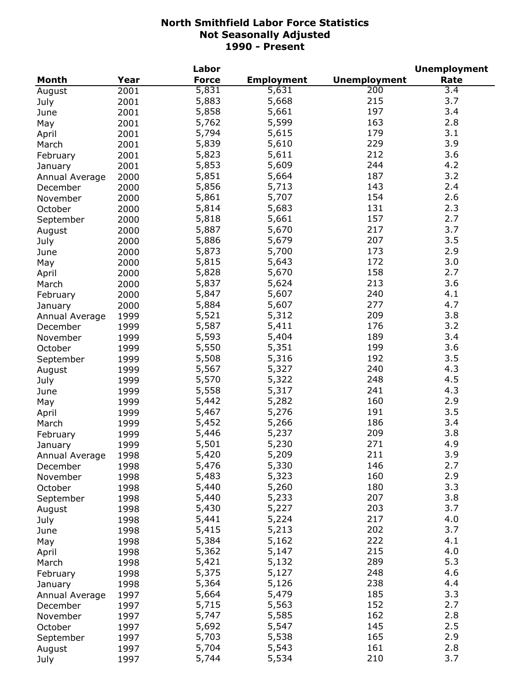|                |      | Labor        |                   |                     | <b>Unemployment</b> |
|----------------|------|--------------|-------------------|---------------------|---------------------|
| <b>Month</b>   | Year | <b>Force</b> | <b>Employment</b> | <b>Unemployment</b> | Rate                |
| August         | 2001 | 5,831        | 5,631             | 200                 | 3.4                 |
| July           | 2001 | 5,883        | 5,668             | 215                 | 3.7                 |
| June           | 2001 | 5,858        | 5,661             | 197                 | 3.4                 |
| May            | 2001 | 5,762        | 5,599             | 163                 | 2.8                 |
| April          | 2001 | 5,794        | 5,615             | 179                 | 3.1                 |
| March          | 2001 | 5,839        | 5,610             | 229                 | 3.9                 |
| February       | 2001 | 5,823        | 5,611             | 212                 | 3.6                 |
| January        | 2001 | 5,853        | 5,609             | 244                 | 4.2                 |
|                | 2000 | 5,851        | 5,664             | 187                 | 3.2                 |
| Annual Average |      | 5,856        | 5,713             | 143                 | 2.4                 |
| December       | 2000 | 5,861        | 5,707             | 154                 | 2.6                 |
| November       | 2000 | 5,814        |                   | 131                 | 2.3                 |
| October        | 2000 |              | 5,683             |                     |                     |
| September      | 2000 | 5,818        | 5,661             | 157                 | 2.7                 |
| August         | 2000 | 5,887        | 5,670             | 217                 | 3.7                 |
| July           | 2000 | 5,886        | 5,679             | 207                 | 3.5                 |
| June           | 2000 | 5,873        | 5,700             | 173                 | 2.9                 |
| May            | 2000 | 5,815        | 5,643             | 172                 | 3.0                 |
| April          | 2000 | 5,828        | 5,670             | 158                 | 2.7                 |
| March          | 2000 | 5,837        | 5,624             | 213                 | 3.6                 |
| February       | 2000 | 5,847        | 5,607             | 240                 | 4.1                 |
| January        | 2000 | 5,884        | 5,607             | 277                 | 4.7                 |
| Annual Average | 1999 | 5,521        | 5,312             | 209                 | 3.8                 |
| December       | 1999 | 5,587        | 5,411             | 176                 | 3.2                 |
| November       | 1999 | 5,593        | 5,404             | 189                 | 3.4                 |
| October        | 1999 | 5,550        | 5,351             | 199                 | 3.6                 |
| September      | 1999 | 5,508        | 5,316             | 192                 | 3.5                 |
| August         | 1999 | 5,567        | 5,327             | 240                 | 4.3                 |
| July           | 1999 | 5,570        | 5,322             | 248                 | 4.5                 |
| June           | 1999 | 5,558        | 5,317             | 241                 | 4.3                 |
| May            | 1999 | 5,442        | 5,282             | 160                 | 2.9                 |
| April          | 1999 | 5,467        | 5,276             | 191                 | 3.5                 |
| March          | 1999 | 5,452        | 5,266             | 186                 | 3.4                 |
|                | 1999 | 5,446        | 5,237             | 209                 | 3.8                 |
| February       |      | 5,501        | 5,230             | 271                 | 4.9                 |
| January        | 1999 |              |                   | 211                 | 3.9                 |
| Annual Average | 1998 | 5,420        | 5,209<br>5,330    | 146                 | 2.7                 |
| December       | 1998 | 5,476        |                   |                     |                     |
| November       | 1998 | 5,483        | 5,323             | 160                 | 2.9                 |
| October        | 1998 | 5,440        | 5,260             | 180                 | 3.3                 |
| September      | 1998 | 5,440        | 5,233             | 207                 | 3.8                 |
| August         | 1998 | 5,430        | 5,227             | 203                 | 3.7                 |
| July           | 1998 | 5,441        | 5,224             | 217                 | 4.0                 |
| June           | 1998 | 5,415        | 5,213             | 202                 | 3.7                 |
| May            | 1998 | 5,384        | 5,162             | 222                 | 4.1                 |
| April          | 1998 | 5,362        | 5,147             | 215                 | 4.0                 |
| March          | 1998 | 5,421        | 5,132             | 289                 | 5.3                 |
| February       | 1998 | 5,375        | 5,127             | 248                 | 4.6                 |
| January        | 1998 | 5,364        | 5,126             | 238                 | 4.4                 |
| Annual Average | 1997 | 5,664        | 5,479             | 185                 | 3.3                 |
| December       | 1997 | 5,715        | 5,563             | 152                 | 2.7                 |
| November       | 1997 | 5,747        | 5,585             | 162                 | 2.8                 |
| October        | 1997 | 5,692        | 5,547             | 145                 | 2.5                 |
| September      | 1997 | 5,703        | 5,538             | 165                 | 2.9                 |
| August         | 1997 | 5,704        | 5,543             | 161                 | 2.8                 |
| July           | 1997 | 5,744        | 5,534             | 210                 | 3.7                 |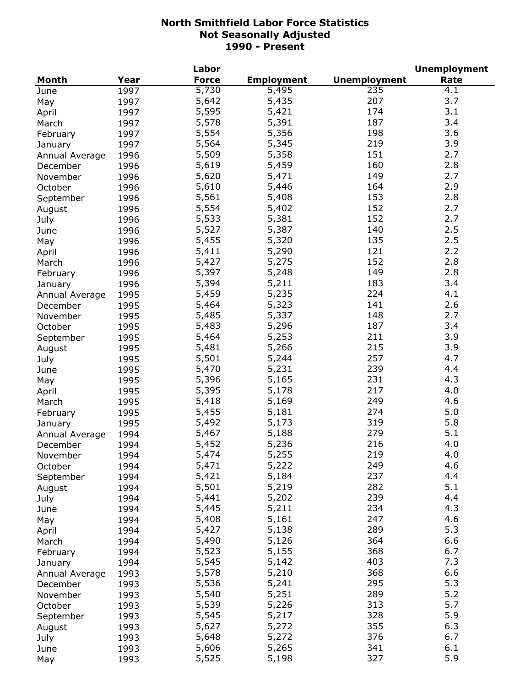|                |      | Labor        |                   |                     | <b>Unemployment</b> |
|----------------|------|--------------|-------------------|---------------------|---------------------|
| Month          | Year | <b>Force</b> | <b>Employment</b> | <b>Unemployment</b> | Rate                |
| June           | 1997 | 5,730        | 5,495             | 235                 | 4.1                 |
| May            | 1997 | 5,642        | 5,435             | 207                 | 3.7                 |
| April          | 1997 | 5,595        | 5,421             | 174                 | 3.1                 |
| March          | 1997 | 5,578        | 5,391             | 187                 | 3.4                 |
| February       | 1997 | 5,554        | 5,356             | 198                 | 3.6                 |
| January        | 1997 | 5,564        | 5,345             | 219                 | 3.9                 |
| Annual Average | 1996 | 5,509        | 5,358             | 151                 | 2.7                 |
| December       | 1996 | 5,619        | 5,459             | 160                 | 2.8                 |
| November       | 1996 | 5,620        | 5,471             | 149                 | 2.7                 |
|                |      | 5,610        | 5,446             | 164                 | 2.9                 |
| October        | 1996 | 5,561        | 5,408             | 153                 | 2.8                 |
| September      | 1996 |              | 5,402             | 152                 | 2.7                 |
| August         | 1996 | 5,554        |                   |                     |                     |
| July           | 1996 | 5,533        | 5,381             | 152                 | 2.7                 |
| June           | 1996 | 5,527        | 5,387             | 140                 | 2.5                 |
| May            | 1996 | 5,455        | 5,320             | 135                 | 2.5                 |
| April          | 1996 | 5,411        | 5,290             | 121                 | 2.2                 |
| March          | 1996 | 5,427        | 5,275             | 152                 | 2.8                 |
| February       | 1996 | 5,397        | 5,248             | 149                 | 2.8                 |
| January        | 1996 | 5,394        | 5,211             | 183                 | 3.4                 |
| Annual Average | 1995 | 5,459        | 5,235             | 224                 | 4.1                 |
| December       | 1995 | 5,464        | 5,323             | 141                 | 2.6                 |
| November       | 1995 | 5,485        | 5,337             | 148                 | 2.7                 |
| October        | 1995 | 5,483        | 5,296             | 187                 | 3.4                 |
| September      | 1995 | 5,464        | 5,253             | 211                 | 3.9                 |
| August         | 1995 | 5,481        | 5,266             | 215                 | 3.9                 |
| July           | 1995 | 5,501        | 5,244             | 257                 | 4.7                 |
| June           | 1995 | 5,470        | 5,231             | 239                 | 4.4                 |
| May            | 1995 | 5,396        | 5,165             | 231                 | 4.3                 |
| April          | 1995 | 5,395        | 5,178             | 217                 | 4.0                 |
| March          | 1995 | 5,418        | 5,169             | 249                 | 4.6                 |
| February       | 1995 | 5,455        | 5,181             | 274                 | 5.0                 |
| January        | 1995 | 5,492        | 5,173             | 319                 | 5.8                 |
|                | 1994 | 5,467        | 5,188             | 279                 | 5.1                 |
| Annual Average |      | 5,452        | 5,236             | 216                 | 4.0                 |
| December       | 1994 | 5,474        |                   | 219                 |                     |
| November       | 1994 |              | 5,255             |                     | 4.0                 |
| October        | 1994 | 5,471        | 5,222             | 249                 | 4.6                 |
| September      | 1994 | 5,421        | 5,184             | 237                 | 4.4                 |
| August         | 1994 | 5,501        | 5,219             | 282                 | 5.1                 |
| July           | 1994 | 5,441        | 5,202             | 239                 | 4.4                 |
| June           | 1994 | 5,445        | 5,211             | 234                 | 4.3                 |
| May            | 1994 | 5,408        | 5,161             | 247                 | 4.6                 |
| April          | 1994 | 5,427        | 5,138             | 289                 | 5.3                 |
| March          | 1994 | 5,490        | 5,126             | 364                 | 6.6                 |
| February       | 1994 | 5,523        | 5,155             | 368                 | 6.7                 |
| January        | 1994 | 5,545        | 5,142             | 403                 | 7.3                 |
| Annual Average | 1993 | 5,578        | 5,210             | 368                 | 6.6                 |
| December       | 1993 | 5,536        | 5,241             | 295                 | 5.3                 |
| November       | 1993 | 5,540        | 5,251             | 289                 | 5.2                 |
| October        | 1993 | 5,539        | 5,226             | 313                 | 5.7                 |
| September      | 1993 | 5,545        | 5,217             | 328                 | 5.9                 |
| August         | 1993 | 5,627        | 5,272             | 355                 | 6.3                 |
| July           | 1993 | 5,648        | 5,272             | 376                 | 6.7                 |
| June           | 1993 | 5,606        | 5,265             | 341                 | 6.1                 |
| May            | 1993 | 5,525        | 5,198             | 327                 | 5.9                 |